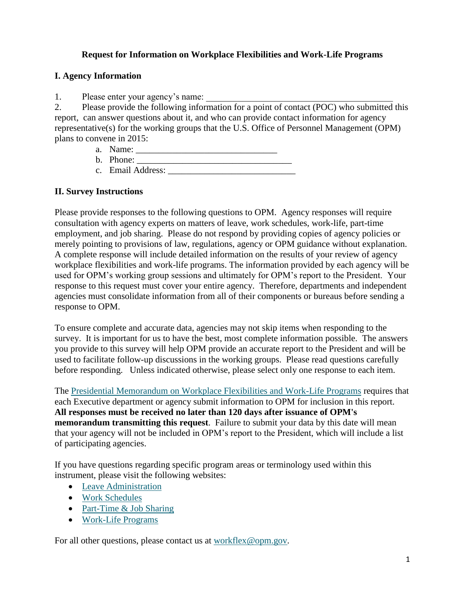## **Request for Information on Workplace Flexibilities and Work-Life Programs**

### **I. Agency Information**

1. Please enter your agency's name:

2. Please provide the following information for a point of contact (POC) who submitted this report, can answer questions about it, and who can provide contact information for agency representative(s) for the working groups that the U.S. Office of Personnel Management (OPM) plans to convene in 2015:

- a. Name:
- b. Phone: \_\_\_\_\_\_\_\_\_\_\_\_\_\_\_\_\_\_\_\_\_\_\_\_\_\_\_\_\_\_\_\_\_\_ c. Email Address: \_\_\_\_\_\_\_\_\_\_\_\_\_\_\_\_\_\_\_\_\_\_\_\_\_\_\_\_

### **II. Survey Instructions**

Please provide responses to the following questions to OPM. Agency responses will require consultation with agency experts on matters of leave, work schedules, work-life, part-time employment, and job sharing. Please do not respond by providing copies of agency policies or merely pointing to provisions of law, regulations, agency or OPM guidance without explanation. A complete response will include detailed information on the results of your review of agency workplace flexibilities and work-life programs. The information provided by each agency will be used for OPM's working group sessions and ultimately for OPM's report to the President. Your response to this request must cover your entire agency. Therefore, departments and independent agencies must consolidate information from all of their components or bureaus before sending a response to OPM.

To ensure complete and accurate data, agencies may not skip items when responding to the survey. It is important for us to have the best, most complete information possible. The answers you provide to this survey will help OPM provide an accurate report to the President and will be used to facilitate follow-up discussions in the working groups. Please read questions carefully before responding. Unless indicated otherwise, please select only one response to each item.

The [Presidential Memorandum on Workplace Flexibilities and Work-Life Programs](http://www.whitehouse.gov/the-press-office/2014/06/23/presidential-memorandum-enhancing-workplace-flexibilities-and-work-life-) requires that each Executive department or agency submit information to OPM for inclusion in this report. **All responses must be received no later than 120 days after issuance of OPM's memorandum transmitting this request**. Failure to submit your data by this date will mean that your agency will not be included in OPM's report to the President, which will include a list of participating agencies.

If you have questions regarding specific program areas or terminology used within this instrument, please visit the following websites:

- [Leave Administration](http://www.opm.gov/policy-data-oversight/pay-leave/leave-administration/)
- [Work Schedules](http://www.opm.gov/policy-data-oversight/pay-leave/work-schedules/)
- [Part-Time & Job Sharing](http://www.opm.gov/policy-data-oversight/hiring-authorities/part-time-and-job-sharing/)
- [Work-Life Programs](http://www.opm.gov/policy-data-oversight/worklife/)

For all other questions, please contact us at [workflex@opm.gov.](mailto:workflex@opm.gov)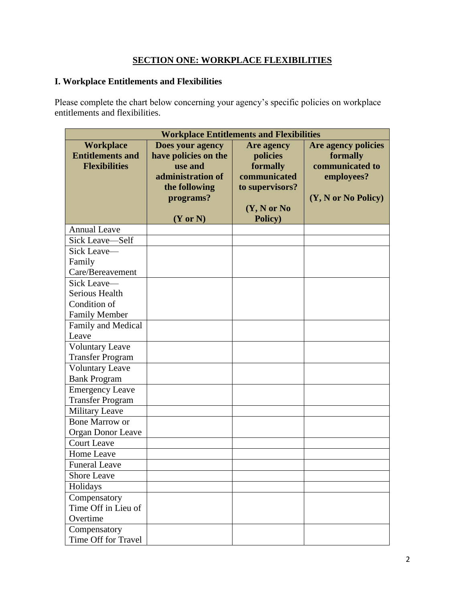## **SECTION ONE: WORKPLACE FLEXIBILITIES**

## **I. Workplace Entitlements and Flexibilities**

Please complete the chart below concerning your agency's specific policies on workplace entitlements and flexibilities.

| <b>Workplace Entitlements and Flexibilities</b>                     |                                                                                                                               |                                                                                                         |                                                                                                            |  |
|---------------------------------------------------------------------|-------------------------------------------------------------------------------------------------------------------------------|---------------------------------------------------------------------------------------------------------|------------------------------------------------------------------------------------------------------------|--|
| <b>Workplace</b><br><b>Entitlements and</b><br><b>Flexibilities</b> | Does your agency<br>have policies on the<br>use and<br>administration of<br>the following<br>programs?<br>$(Y \text{ or } N)$ | <b>Are agency</b><br>policies<br>formally<br>communicated<br>to supervisors?<br>(Y, N or No)<br>Policy) | Are agency policies<br>formally<br>communicated to<br>employees?<br>$(Y, N \text{ or } No \text{ Policy})$ |  |
| <b>Annual Leave</b>                                                 |                                                                                                                               |                                                                                                         |                                                                                                            |  |
| Sick Leave-Self                                                     |                                                                                                                               |                                                                                                         |                                                                                                            |  |
| Sick Leave-                                                         |                                                                                                                               |                                                                                                         |                                                                                                            |  |
| Family                                                              |                                                                                                                               |                                                                                                         |                                                                                                            |  |
| Care/Bereavement                                                    |                                                                                                                               |                                                                                                         |                                                                                                            |  |
| Sick Leave-                                                         |                                                                                                                               |                                                                                                         |                                                                                                            |  |
| Serious Health                                                      |                                                                                                                               |                                                                                                         |                                                                                                            |  |
| Condition of                                                        |                                                                                                                               |                                                                                                         |                                                                                                            |  |
| <b>Family Member</b>                                                |                                                                                                                               |                                                                                                         |                                                                                                            |  |
| Family and Medical                                                  |                                                                                                                               |                                                                                                         |                                                                                                            |  |
| Leave                                                               |                                                                                                                               |                                                                                                         |                                                                                                            |  |
| <b>Voluntary Leave</b>                                              |                                                                                                                               |                                                                                                         |                                                                                                            |  |
| <b>Transfer Program</b>                                             |                                                                                                                               |                                                                                                         |                                                                                                            |  |
| <b>Voluntary Leave</b>                                              |                                                                                                                               |                                                                                                         |                                                                                                            |  |
| <b>Bank Program</b>                                                 |                                                                                                                               |                                                                                                         |                                                                                                            |  |
| <b>Emergency Leave</b>                                              |                                                                                                                               |                                                                                                         |                                                                                                            |  |
| <b>Transfer Program</b>                                             |                                                                                                                               |                                                                                                         |                                                                                                            |  |
| <b>Military Leave</b>                                               |                                                                                                                               |                                                                                                         |                                                                                                            |  |
| <b>Bone Marrow or</b>                                               |                                                                                                                               |                                                                                                         |                                                                                                            |  |
| <b>Organ Donor Leave</b>                                            |                                                                                                                               |                                                                                                         |                                                                                                            |  |
| <b>Court Leave</b>                                                  |                                                                                                                               |                                                                                                         |                                                                                                            |  |
| Home Leave                                                          |                                                                                                                               |                                                                                                         |                                                                                                            |  |
| <b>Funeral Leave</b>                                                |                                                                                                                               |                                                                                                         |                                                                                                            |  |
| Shore Leave                                                         |                                                                                                                               |                                                                                                         |                                                                                                            |  |
| Holidays                                                            |                                                                                                                               |                                                                                                         |                                                                                                            |  |
| Compensatory                                                        |                                                                                                                               |                                                                                                         |                                                                                                            |  |
| Time Off in Lieu of                                                 |                                                                                                                               |                                                                                                         |                                                                                                            |  |
| Overtime                                                            |                                                                                                                               |                                                                                                         |                                                                                                            |  |
| Compensatory                                                        |                                                                                                                               |                                                                                                         |                                                                                                            |  |
| Time Off for Travel                                                 |                                                                                                                               |                                                                                                         |                                                                                                            |  |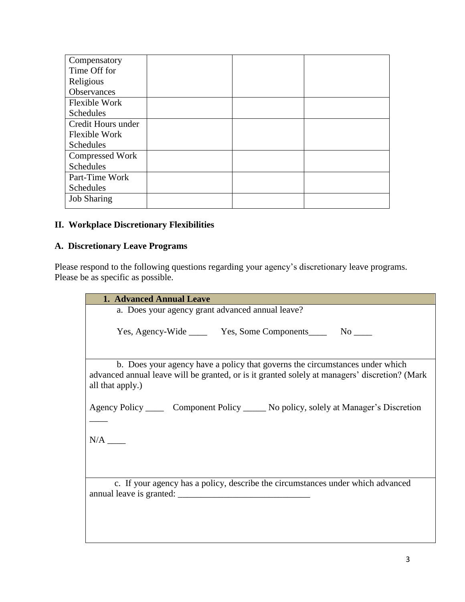| Compensatory           |  |  |
|------------------------|--|--|
| Time Off for           |  |  |
| Religious              |  |  |
| Observances            |  |  |
| <b>Flexible Work</b>   |  |  |
| <b>Schedules</b>       |  |  |
| Credit Hours under     |  |  |
| <b>Flexible Work</b>   |  |  |
| <b>Schedules</b>       |  |  |
| <b>Compressed Work</b> |  |  |
| <b>Schedules</b>       |  |  |
| Part-Time Work         |  |  |
| <b>Schedules</b>       |  |  |
| <b>Job Sharing</b>     |  |  |

### **II. Workplace Discretionary Flexibilities**

## **A. Discretionary Leave Programs**

Please respond to the following questions regarding your agency's discretionary leave programs. Please be as specific as possible.

| <b>1. Advanced Annual Leave</b>                                                                                                                                                                   |
|---------------------------------------------------------------------------------------------------------------------------------------------------------------------------------------------------|
| a. Does your agency grant advanced annual leave?                                                                                                                                                  |
|                                                                                                                                                                                                   |
| Yes, Agency-Wide ________ Yes, Some Components_________ No ______                                                                                                                                 |
|                                                                                                                                                                                                   |
|                                                                                                                                                                                                   |
| b. Does your agency have a policy that governs the circumstances under which<br>advanced annual leave will be granted, or is it granted solely at managers' discretion? (Mark<br>all that apply.) |
|                                                                                                                                                                                                   |
| Agency Policy _______ Component Policy ______ No policy, solely at Manager's Discretion                                                                                                           |
|                                                                                                                                                                                                   |
|                                                                                                                                                                                                   |
|                                                                                                                                                                                                   |
|                                                                                                                                                                                                   |
| c. If your agency has a policy, describe the circumstances under which advanced                                                                                                                   |
|                                                                                                                                                                                                   |
|                                                                                                                                                                                                   |
|                                                                                                                                                                                                   |
|                                                                                                                                                                                                   |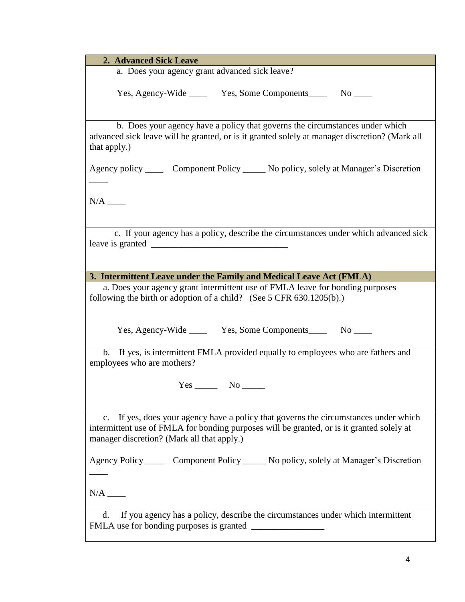**2. Advanced Sick Leave**

a. Does your agency grant advanced sick leave?

Yes, Agency-Wide \_\_\_\_\_ Yes, Some Components \_\_\_\_ No \_\_\_\_

b. Does your agency have a policy that governs the circumstances under which advanced sick leave will be granted, or is it granted solely at manager discretion? (Mark all that apply.)

Agency policy \_\_\_\_ Component Policy \_\_\_\_\_ No policy, solely at Manager's Discretion

N/A \_\_\_\_

\_\_\_\_

 c. If your agency has a policy, describe the circumstances under which advanced sick leave is granted

**3. Intermittent Leave under the Family and Medical Leave Act (FMLA)**

a. Does your agency grant intermittent use of FMLA leave for bonding purposes following the birth or adoption of a child? (See 5 CFR 630.1205(b).)

Yes, Agency-Wide \_\_\_\_\_ Yes, Some Components \_\_\_\_ No \_\_\_\_

b. If yes, is intermittent FMLA provided equally to employees who are fathers and employees who are mothers?

Yes No

c. If yes, does your agency have a policy that governs the circumstances under which intermittent use of FMLA for bonding purposes will be granted, or is it granted solely at manager discretion? (Mark all that apply.)

Agency Policy Component Policy No policy, solely at Manager's Discretion

 $N/A$   $\_\_$ 

 $\overline{\phantom{a}}$ 

d. If you agency has a policy, describe the circumstances under which intermittent FMLA use for bonding purposes is granted \_\_\_\_\_\_\_\_\_\_\_\_\_\_\_\_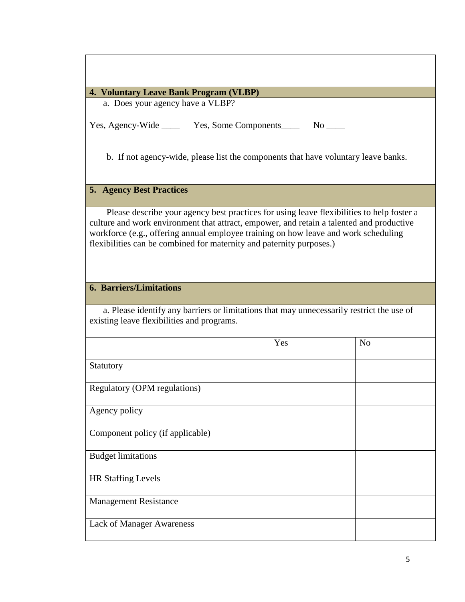### **4. Voluntary Leave Bank Program (VLBP)**

a. Does your agency have a VLBP?

Yes, Agency-Wide \_\_\_\_ Yes, Some Components\_\_\_\_ No \_\_\_\_

b. If not agency-wide, please list the components that have voluntary leave banks.

## **5. Agency Best Practices**

Please describe your agency best practices for using leave flexibilities to help foster a culture and work environment that attract, empower, and retain a talented and productive workforce (e.g., offering annual employee training on how leave and work scheduling flexibilities can be combined for maternity and paternity purposes.)

### **6. Barriers/Limitations**

a. Please identify any barriers or limitations that may unnecessarily restrict the use of existing leave flexibilities and programs.

|                                     | Yes | N <sub>o</sub> |
|-------------------------------------|-----|----------------|
| Statutory                           |     |                |
| <b>Regulatory (OPM regulations)</b> |     |                |
| Agency policy                       |     |                |
| Component policy (if applicable)    |     |                |
| <b>Budget limitations</b>           |     |                |
| <b>HR Staffing Levels</b>           |     |                |
| <b>Management Resistance</b>        |     |                |
| <b>Lack of Manager Awareness</b>    |     |                |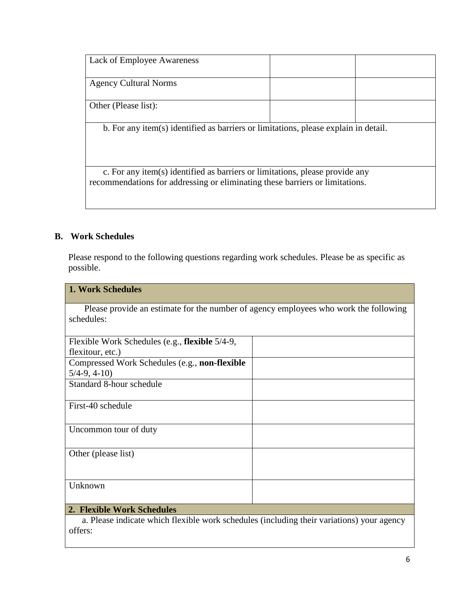| <b>Lack of Employee Awareness</b>                                                   |  |  |  |
|-------------------------------------------------------------------------------------|--|--|--|
|                                                                                     |  |  |  |
| <b>Agency Cultural Norms</b>                                                        |  |  |  |
|                                                                                     |  |  |  |
| Other (Please list):                                                                |  |  |  |
|                                                                                     |  |  |  |
| b. For any item(s) identified as barriers or limitations, please explain in detail. |  |  |  |
|                                                                                     |  |  |  |
|                                                                                     |  |  |  |
|                                                                                     |  |  |  |
| c. For any item(s) identified as barriers or limitations, please provide any        |  |  |  |
| recommendations for addressing or eliminating these barriers or limitations.        |  |  |  |

### **B. Work Schedules**

Please respond to the following questions regarding work schedules. Please be as specific as possible.

| <b>1. Work Schedules</b>                                                             |  |  |
|--------------------------------------------------------------------------------------|--|--|
| Please provide an estimate for the number of agency employees who work the following |  |  |
| schedules:                                                                           |  |  |
|                                                                                      |  |  |
| Flexible Work Schedules (e.g., flexible 5/4-9,                                       |  |  |
| flexitour, etc.)                                                                     |  |  |
| Compressed Work Schedules (e.g., non-flexible                                        |  |  |
| $5/4-9, 4-10$                                                                        |  |  |
| Standard 8-hour schedule                                                             |  |  |
|                                                                                      |  |  |
| First-40 schedule                                                                    |  |  |
|                                                                                      |  |  |
| Uncommon tour of duty                                                                |  |  |
|                                                                                      |  |  |
| Other (please list)                                                                  |  |  |
|                                                                                      |  |  |
|                                                                                      |  |  |
| Unknown                                                                              |  |  |
|                                                                                      |  |  |
| 2. Flexible Work Schedules                                                           |  |  |

a. Please indicate which flexible work schedules (including their variations) your agency offers: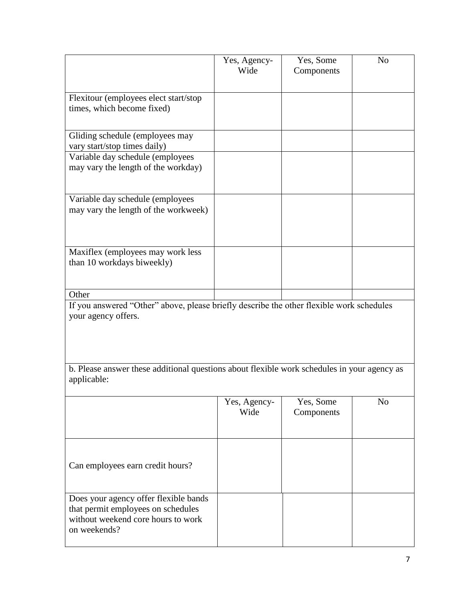|                                                                                                                                   | Yes, Agency-<br>Wide | Yes, Some<br>Components | N <sub>o</sub> |
|-----------------------------------------------------------------------------------------------------------------------------------|----------------------|-------------------------|----------------|
| Flexitour (employees elect start/stop<br>times, which become fixed)                                                               |                      |                         |                |
| Gliding schedule (employees may<br>vary start/stop times daily)                                                                   |                      |                         |                |
| Variable day schedule (employees<br>may vary the length of the workday)                                                           |                      |                         |                |
| Variable day schedule (employees<br>may vary the length of the workweek)                                                          |                      |                         |                |
| Maxiflex (employees may work less<br>than 10 workdays biweekly)                                                                   |                      |                         |                |
| Other                                                                                                                             |                      |                         |                |
| If you answered "Other" above, please briefly describe the other flexible work schedules<br>your agency offers.                   |                      |                         |                |
| b. Please answer these additional questions about flexible work schedules in your agency as<br>applicable:                        |                      |                         |                |
|                                                                                                                                   | Yes, Agency-<br>Wide | Yes, Some<br>Components | N <sub>o</sub> |
| Can employees earn credit hours?                                                                                                  |                      |                         |                |
| Does your agency offer flexible bands<br>that permit employees on schedules<br>without weekend core hours to work<br>on weekends? |                      |                         |                |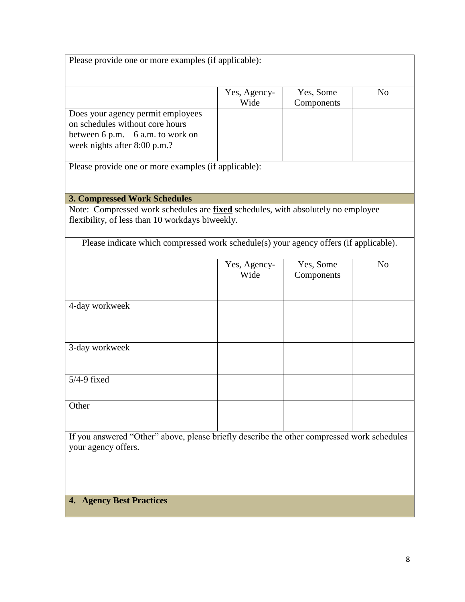|                                                                                                                                            | Yes, Agency-<br>Wide | Yes, Some<br>Components | N <sub>o</sub> |
|--------------------------------------------------------------------------------------------------------------------------------------------|----------------------|-------------------------|----------------|
| Does your agency permit employees<br>on schedules without core hours                                                                       |                      |                         |                |
| between $6$ p.m. $-6$ a.m. to work on<br>week nights after 8:00 p.m.?                                                                      |                      |                         |                |
| Please provide one or more examples (if applicable):                                                                                       |                      |                         |                |
| <b>3. Compressed Work Schedules</b>                                                                                                        |                      |                         |                |
| Note: Compressed work schedules are <b>fixed</b> schedules, with absolutely no employee<br>flexibility, of less than 10 workdays biweekly. |                      |                         |                |
| Please indicate which compressed work schedule(s) your agency offers (if applicable).                                                      |                      |                         |                |
|                                                                                                                                            | Yes, Agency-<br>Wide | Yes, Some<br>Components | N <sub>o</sub> |
| 4-day workweek                                                                                                                             |                      |                         |                |
| 3-day workweek                                                                                                                             |                      |                         |                |
| $5/4-9$ fixed                                                                                                                              |                      |                         |                |
| Other                                                                                                                                      |                      |                         |                |
| If you answered "Other" above, please briefly describe the other compressed work schedules<br>your agency offers.                          |                      |                         |                |
|                                                                                                                                            |                      |                         |                |

# **4. Agency Best Practices**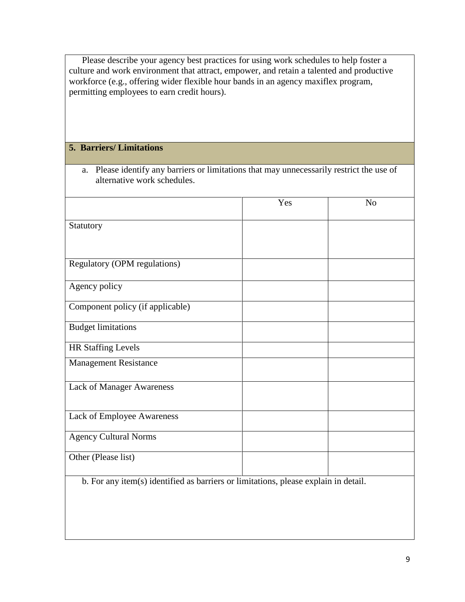Please describe your agency best practices for using work schedules to help foster a culture and work environment that attract, empower, and retain a talented and productive workforce (e.g., offering wider flexible hour bands in an agency maxiflex program, permitting employees to earn credit hours).

a. Please identify any barriers or limitations that may unnecessarily restrict the use of

## **5. Barriers/ Limitations**

| alternative work schedules.                                                         |     |                |
|-------------------------------------------------------------------------------------|-----|----------------|
|                                                                                     | Yes | N <sub>o</sub> |
| Statutory                                                                           |     |                |
|                                                                                     |     |                |
| <b>Regulatory (OPM regulations)</b>                                                 |     |                |
| Agency policy                                                                       |     |                |
| Component policy (if applicable)                                                    |     |                |
| <b>Budget limitations</b>                                                           |     |                |
| <b>HR Staffing Levels</b>                                                           |     |                |
| <b>Management Resistance</b>                                                        |     |                |
| Lack of Manager Awareness                                                           |     |                |
| Lack of Employee Awareness                                                          |     |                |
| <b>Agency Cultural Norms</b>                                                        |     |                |
| Other (Please list)                                                                 |     |                |
| b. For any item(s) identified as barriers or limitations, please explain in detail. |     |                |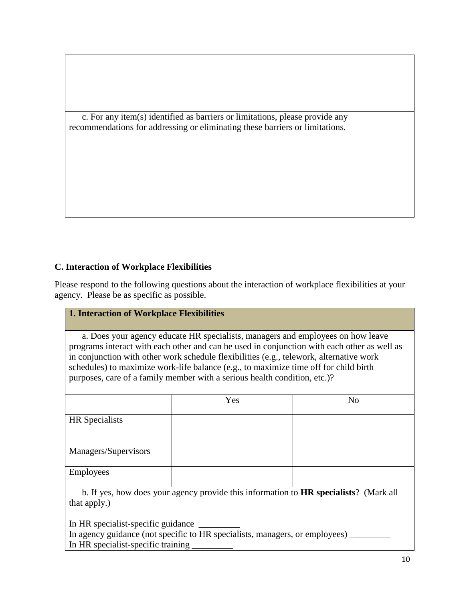c. For any item(s) identified as barriers or limitations, please provide any recommendations for addressing or eliminating these barriers or limitations.

## **C. Interaction of Workplace Flexibilities**

Please respond to the following questions about the interaction of workplace flexibilities at your agency. Please be as specific as possible.

## **1. Interaction of Workplace Flexibilities**

a. Does your agency educate HR specialists, managers and employees on how leave programs interact with each other and can be used in conjunction with each other as well as in conjunction with other work schedule flexibilities (e.g., telework, alternative work schedules) to maximize work-life balance (e.g., to maximize time off for child birth purposes, care of a family member with a serious health condition, etc.)?

|                                                                                              | Yes | N <sub>o</sub> |
|----------------------------------------------------------------------------------------------|-----|----------------|
| HR Specialists                                                                               |     |                |
|                                                                                              |     |                |
| Managers/Supervisors                                                                         |     |                |
| Employees                                                                                    |     |                |
| b. If yes, how does your agency provide this information to <b>HR</b> specialists? (Mark all |     |                |

that apply.)

In HR specialist-specific guidance

In agency guidance (not specific to HR specialists, managers, or employees)  $\qquad$ In HR specialist-specific training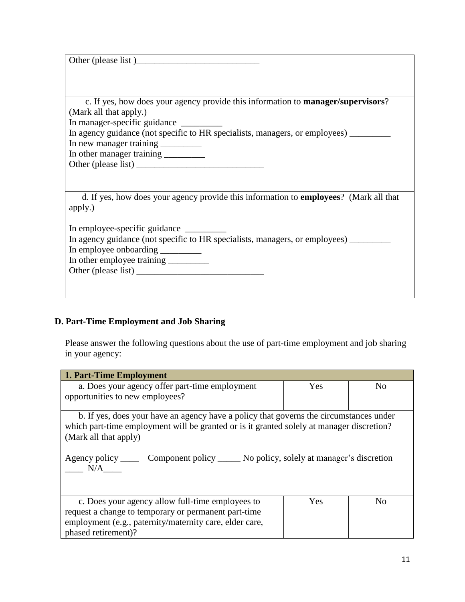| Other (please list)                                                                      |
|------------------------------------------------------------------------------------------|
|                                                                                          |
|                                                                                          |
| c. If yes, how does your agency provide this information to <b>manager/supervisors</b> ? |
| (Mark all that apply.)                                                                   |
| In manager-specific guidance                                                             |
| In agency guidance (not specific to HR specialists, managers, or employees) ______       |
|                                                                                          |
| In other manager training _________                                                      |
|                                                                                          |
|                                                                                          |
|                                                                                          |
| d. If yes, how does your agency provide this information to employees? (Mark all that    |
| apply.)                                                                                  |
|                                                                                          |
|                                                                                          |
| In agency guidance (not specific to HR specialists, managers, or employees) ___________  |
| In employee onboarding _________                                                         |
|                                                                                          |
|                                                                                          |
|                                                                                          |
|                                                                                          |

## **D. Part-Time Employment and Job Sharing**

Please answer the following questions about the use of part-time employment and job sharing in your agency:

| <b>1. Part-Time Employment</b>                                                                                                                                                                               |            |                |  |
|--------------------------------------------------------------------------------------------------------------------------------------------------------------------------------------------------------------|------------|----------------|--|
| a. Does your agency offer part-time employment                                                                                                                                                               | Yes        | N <sub>0</sub> |  |
| opportunities to new employees?                                                                                                                                                                              |            |                |  |
|                                                                                                                                                                                                              |            |                |  |
| b. If yes, does your have an agency have a policy that governs the circumstances under<br>which part-time employment will be granted or is it granted solely at manager discretion?<br>(Mark all that apply) |            |                |  |
| Agency policy _______ Component policy _______ No policy, solely at manager's discretion<br>N/A                                                                                                              |            |                |  |
| c. Does your agency allow full-time employees to<br>request a change to temporary or permanent part-time<br>employment (e.g., paternity/maternity care, elder care,<br>phased retirement)?                   | <b>Yes</b> | N <sub>0</sub> |  |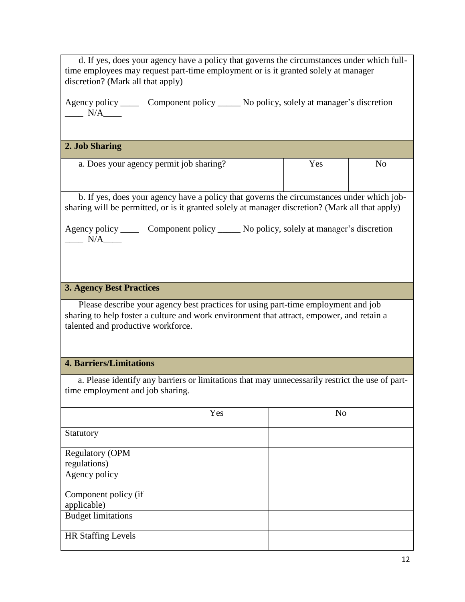| d. If yes, does your agency have a policy that governs the circumstances under which full-<br>time employees may request part-time employment or is it granted solely at manager<br>discretion? (Mark all that apply) |                                                                                         |                |                |
|-----------------------------------------------------------------------------------------------------------------------------------------------------------------------------------------------------------------------|-----------------------------------------------------------------------------------------|----------------|----------------|
| $\frac{N}{A}$                                                                                                                                                                                                         | Agency policy _______ Component policy ______ No policy, solely at manager's discretion |                |                |
| 2. Job Sharing                                                                                                                                                                                                        |                                                                                         |                |                |
| a. Does your agency permit job sharing?                                                                                                                                                                               |                                                                                         | Yes            | N <sub>o</sub> |
| b. If yes, does your agency have a policy that governs the circumstances under which job-<br>sharing will be permitted, or is it granted solely at manager discretion? (Mark all that apply)                          |                                                                                         |                |                |
| $\frac{N}{A}$                                                                                                                                                                                                         | Agency policy _______ Component policy ______ No policy, solely at manager's discretion |                |                |
| <b>3. Agency Best Practices</b>                                                                                                                                                                                       |                                                                                         |                |                |
| Please describe your agency best practices for using part-time employment and job<br>sharing to help foster a culture and work environment that attract, empower, and retain a<br>talented and productive workforce.  |                                                                                         |                |                |
| <b>4. Barriers/Limitations</b>                                                                                                                                                                                        |                                                                                         |                |                |
| a. Please identify any barriers or limitations that may unnecessarily restrict the use of part-<br>time employment and job sharing.                                                                                   |                                                                                         |                |                |
|                                                                                                                                                                                                                       | Yes                                                                                     | N <sub>o</sub> |                |
| Statutory                                                                                                                                                                                                             |                                                                                         |                |                |
| <b>Regulatory (OPM</b><br>regulations)                                                                                                                                                                                |                                                                                         |                |                |
| Agency policy                                                                                                                                                                                                         |                                                                                         |                |                |
| Component policy (if<br>applicable)                                                                                                                                                                                   |                                                                                         |                |                |
| <b>Budget limitations</b>                                                                                                                                                                                             |                                                                                         |                |                |
| <b>HR Staffing Levels</b>                                                                                                                                                                                             |                                                                                         |                |                |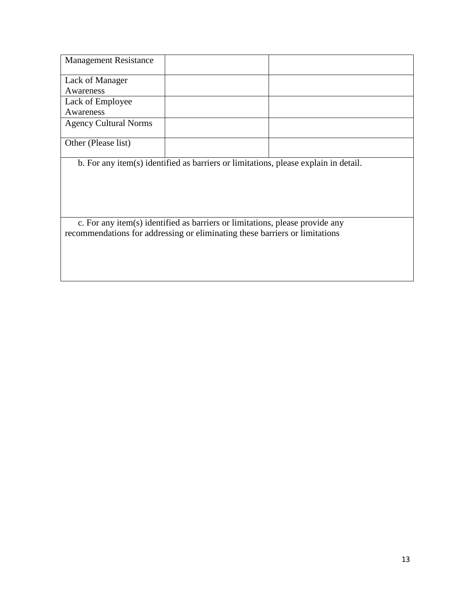| <b>Management Resistance</b> |                                                                                                                                                             |  |
|------------------------------|-------------------------------------------------------------------------------------------------------------------------------------------------------------|--|
| Lack of Manager              |                                                                                                                                                             |  |
| Awareness                    |                                                                                                                                                             |  |
| Lack of Employee             |                                                                                                                                                             |  |
| Awareness                    |                                                                                                                                                             |  |
| <b>Agency Cultural Norms</b> |                                                                                                                                                             |  |
| Other (Please list)          |                                                                                                                                                             |  |
|                              | b. For any item(s) identified as barriers or limitations, please explain in detail.                                                                         |  |
|                              | c. For any item(s) identified as barriers or limitations, please provide any<br>recommendations for addressing or eliminating these barriers or limitations |  |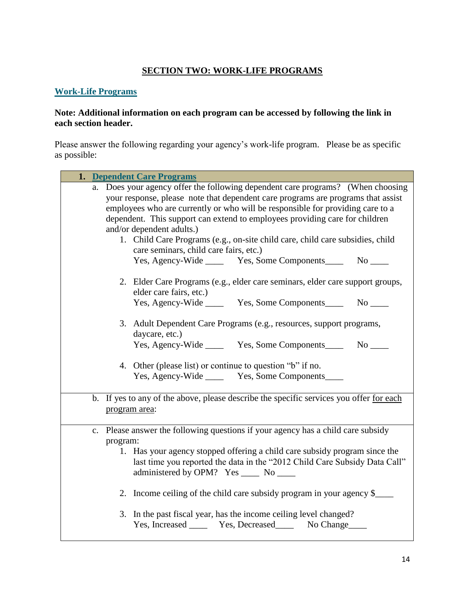## **SECTION TWO: WORK-LIFE PROGRAMS**

### **[Work-Life Programs](http://www.opm.gov/policy-data-oversight/worklife/)**

### **Note: Additional information on each program can be accessed by following the link in each section header.**

Please answer the following regarding your agency's work-life program. Please be as specific as possible:

| 1. Dependent Care Programs                                                                                                                                                                                                                                                                                                                                                                                                                                                                                                                                     |
|----------------------------------------------------------------------------------------------------------------------------------------------------------------------------------------------------------------------------------------------------------------------------------------------------------------------------------------------------------------------------------------------------------------------------------------------------------------------------------------------------------------------------------------------------------------|
| a. Does your agency offer the following dependent care programs? (When choosing<br>your response, please note that dependent care programs are programs that assist<br>employees who are currently or who will be responsible for providing care to a<br>dependent. This support can extend to employees providing care for children<br>and/or dependent adults.)<br>1. Child Care Programs (e.g., on-site child care, child care subsidies, child<br>care seminars, child care fairs, etc.)<br>Yes, Agency-Wide _______ Yes, Some Components________ No _____ |
| 2. Elder Care Programs (e.g., elder care seminars, elder care support groups,<br>elder care fairs, etc.)<br>Yes, Agency-Wide ________ Yes, Some Components_________ No _______                                                                                                                                                                                                                                                                                                                                                                                 |
| 3. Adult Dependent Care Programs (e.g., resources, support programs,<br>daycare, etc.)<br>Yes, Agency-Wide _______ Yes, Some Components_________ No ______                                                                                                                                                                                                                                                                                                                                                                                                     |
| 4. Other (please list) or continue to question "b" if no.<br>Yes, Agency-Wide _______ Yes, Some Components_____                                                                                                                                                                                                                                                                                                                                                                                                                                                |
| b. If yes to any of the above, please describe the specific services you offer for each<br>program area:                                                                                                                                                                                                                                                                                                                                                                                                                                                       |
| c. Please answer the following questions if your agency has a child care subsidy<br>program:<br>1. Has your agency stopped offering a child care subsidy program since the<br>last time you reported the data in the "2012 Child Care Subsidy Data Call"<br>administered by OPM? Yes _____ No _____                                                                                                                                                                                                                                                            |
| 2. Income ceiling of the child care subsidy program in your agency \$<br>3. In the past fiscal year, has the income ceiling level changed?<br>Yes, Increased _______ Yes, Decreased ________ No Change                                                                                                                                                                                                                                                                                                                                                         |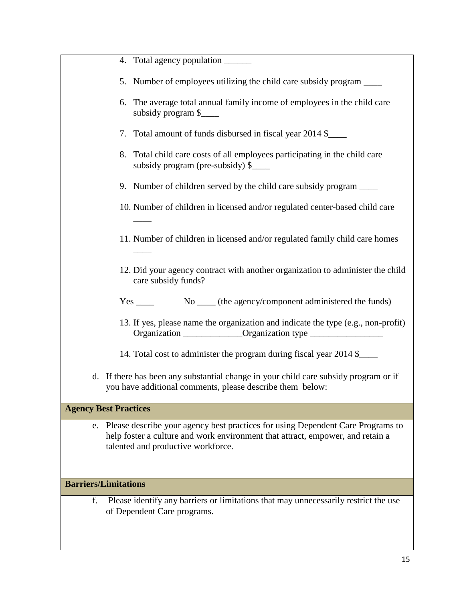| 4. Total agency population ______                                                                                                                                                                          |
|------------------------------------------------------------------------------------------------------------------------------------------------------------------------------------------------------------|
| 5. Number of employees utilizing the child care subsidy program _____                                                                                                                                      |
| 6. The average total annual family income of employees in the child care<br>subsidy program \$                                                                                                             |
| 7. Total amount of funds disbursed in fiscal year 2014 \$                                                                                                                                                  |
| 8. Total child care costs of all employees participating in the child care<br>subsidy program (pre-subsidy) \$                                                                                             |
| 9. Number of children served by the child care subsidy program ______                                                                                                                                      |
| 10. Number of children in licensed and/or regulated center-based child care                                                                                                                                |
| 11. Number of children in licensed and/or regulated family child care homes                                                                                                                                |
| 12. Did your agency contract with another organization to administer the child<br>care subsidy funds?                                                                                                      |
|                                                                                                                                                                                                            |
| 13. If yes, please name the organization and indicate the type (e.g., non-profit)<br>Organization ______________Organization type ___________________________________                                      |
| 14. Total cost to administer the program during fiscal year 2014 \$                                                                                                                                        |
| d. If there has been any substantial change in your child care subsidy program or if<br>you have additional comments, please describe them below:                                                          |
| <b>Agency Best Practices</b>                                                                                                                                                                               |
| e. Please describe your agency best practices for using Dependent Care Programs to<br>help foster a culture and work environment that attract, empower, and retain a<br>talented and productive workforce. |
| <b>Barriers/Limitations</b>                                                                                                                                                                                |
| Please identify any barriers or limitations that may unnecessarily restrict the use<br>f.<br>of Dependent Care programs.                                                                                   |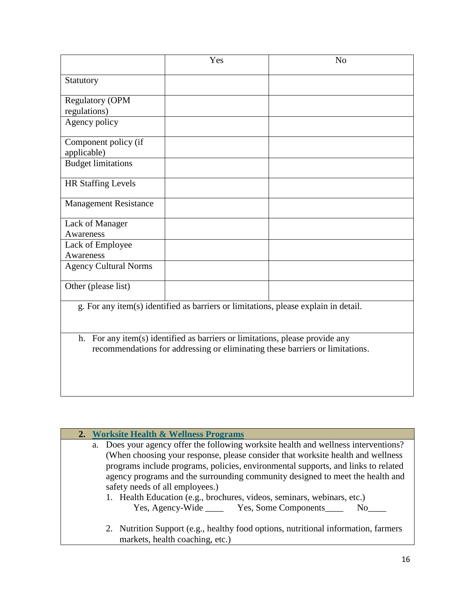|                              | Yes                                                                                                                                                          | N <sub>o</sub> |
|------------------------------|--------------------------------------------------------------------------------------------------------------------------------------------------------------|----------------|
| Statutory                    |                                                                                                                                                              |                |
| <b>Regulatory (OPM</b>       |                                                                                                                                                              |                |
| regulations)                 |                                                                                                                                                              |                |
| Agency policy                |                                                                                                                                                              |                |
| Component policy (if         |                                                                                                                                                              |                |
| applicable)                  |                                                                                                                                                              |                |
| <b>Budget limitations</b>    |                                                                                                                                                              |                |
| <b>HR Staffing Levels</b>    |                                                                                                                                                              |                |
| <b>Management Resistance</b> |                                                                                                                                                              |                |
| Lack of Manager              |                                                                                                                                                              |                |
| Awareness                    |                                                                                                                                                              |                |
| Lack of Employee             |                                                                                                                                                              |                |
| Awareness                    |                                                                                                                                                              |                |
| <b>Agency Cultural Norms</b> |                                                                                                                                                              |                |
| Other (please list)          |                                                                                                                                                              |                |
|                              | g. For any item(s) identified as barriers or limitations, please explain in detail.                                                                          |                |
|                              | h. For any item(s) identified as barriers or limitations, please provide any<br>recommendations for addressing or eliminating these barriers or limitations. |                |
|                              |                                                                                                                                                              |                |

|  | 2. Worksite Health & Wellness Programs                                              |
|--|-------------------------------------------------------------------------------------|
|  | a. Does your agency offer the following worksite health and wellness interventions? |
|  | (When choosing your response, please consider that worksite health and wellness     |
|  | programs include programs, policies, environmental supports, and links to related   |
|  | agency programs and the surrounding community designed to meet the health and       |
|  | safety needs of all employees.)                                                     |
|  | 1. Health Education (e.g., brochures, videos, seminars, webinars, etc.)             |
|  | Yes, Agency-Wide _______ Yes, Some Components_____<br>$No$ <sub>______</sub>        |
|  |                                                                                     |
|  | 2. Nutrition Support (e.g., healthy food options, nutritional information, farmers  |
|  | markets, health coaching, etc.)                                                     |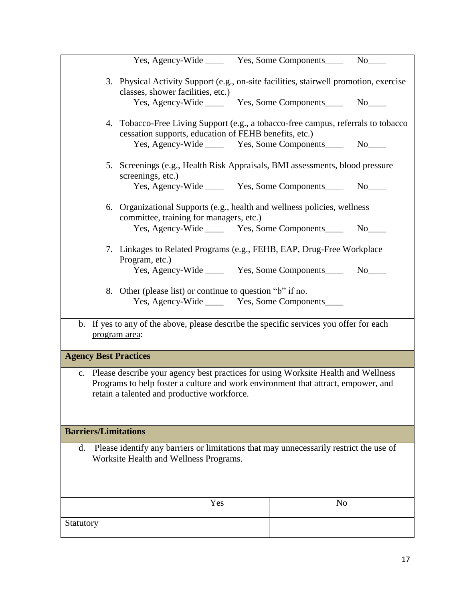|                              |                   |                                                           | Yes, Agency-Wide _______ Yes, Some Components________ No_____                                                                                                             |                                                                                                                                                                                                                                |
|------------------------------|-------------------|-----------------------------------------------------------|---------------------------------------------------------------------------------------------------------------------------------------------------------------------------|--------------------------------------------------------------------------------------------------------------------------------------------------------------------------------------------------------------------------------|
|                              |                   | classes, shower facilities, etc.)                         | 3. Physical Activity Support (e.g., on-site facilities, stairwell promotion, exercise                                                                                     |                                                                                                                                                                                                                                |
|                              |                   |                                                           | Yes, Agency-Wide ________ Yes, Some Components__________ No______                                                                                                         |                                                                                                                                                                                                                                |
|                              |                   | cessation supports, education of FEHB benefits, etc.)     | 4. Tobacco-Free Living Support (e.g., a tobacco-free campus, referrals to tobacco                                                                                         |                                                                                                                                                                                                                                |
|                              |                   |                                                           | Yes, Agency-Wide ________ Yes, Some Components______                                                                                                                      |                                                                                                                                                                                                                                |
|                              | screenings, etc.) |                                                           | 5. Screenings (e.g., Health Risk Appraisals, BMI assessments, blood pressure                                                                                              |                                                                                                                                                                                                                                |
|                              |                   |                                                           | Yes, Agency-Wide _______ Yes, Some Components_____                                                                                                                        |                                                                                                                                                                                                                                |
|                              |                   | committee, training for managers, etc.)                   | 6. Organizational Supports (e.g., health and wellness policies, wellness                                                                                                  |                                                                                                                                                                                                                                |
|                              |                   |                                                           | Yes, Agency-Wide ________ Yes, Some Components_____                                                                                                                       | No results and the New York of the New York of the New York of the New York of the New York of the New York of the New York of the New York of the New York of the New York of the New York of the New York of the New York of |
|                              | Program, etc.)    |                                                           | 7. Linkages to Related Programs (e.g., FEHB, EAP, Drug-Free Workplace                                                                                                     |                                                                                                                                                                                                                                |
|                              |                   |                                                           | Yes, Agency-Wide _______ Yes, Some Components_____                                                                                                                        |                                                                                                                                                                                                                                |
|                              |                   | 8. Other (please list) or continue to question "b" if no. | Yes, Agency-Wide ________ Yes, Some Components______                                                                                                                      |                                                                                                                                                                                                                                |
|                              | program area:     |                                                           | b. If yes to any of the above, please describe the specific services you offer for each                                                                                   |                                                                                                                                                                                                                                |
| <b>Agency Best Practices</b> |                   |                                                           |                                                                                                                                                                           |                                                                                                                                                                                                                                |
|                              |                   | retain a talented and productive workforce.               | c. Please describe your agency best practices for using Worksite Health and Wellness<br>Programs to help foster a culture and work environment that attract, empower, and |                                                                                                                                                                                                                                |
| <b>Barriers/Limitations</b>  |                   |                                                           |                                                                                                                                                                           |                                                                                                                                                                                                                                |
| d.                           |                   | Worksite Health and Wellness Programs.                    | Please identify any barriers or limitations that may unnecessarily restrict the use of                                                                                    |                                                                                                                                                                                                                                |
|                              |                   | Yes                                                       |                                                                                                                                                                           | N <sub>0</sub>                                                                                                                                                                                                                 |
| Statutory                    |                   |                                                           |                                                                                                                                                                           |                                                                                                                                                                                                                                |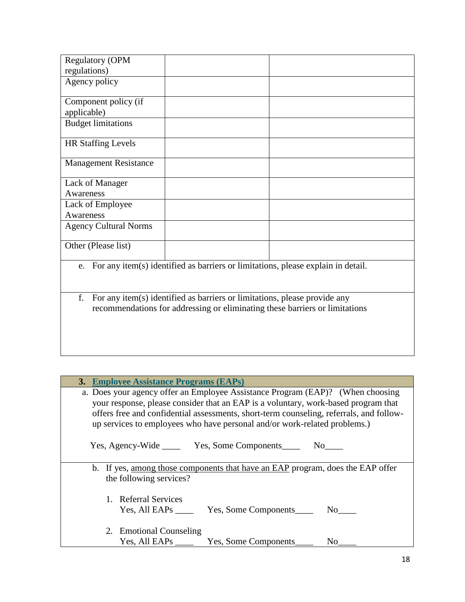| 3. Employee Assistance Programs (EAPs)                                                                                                                                                                                                                                                                                                       |      |
|----------------------------------------------------------------------------------------------------------------------------------------------------------------------------------------------------------------------------------------------------------------------------------------------------------------------------------------------|------|
| a. Does your agency offer an Employee Assistance Program (EAP)? (When choosing<br>your response, please consider that an EAP is a voluntary, work-based program that<br>offers free and confidential assessments, short-term counseling, referrals, and follow-<br>up services to employees who have personal and/or work-related problems.) |      |
| Yes, Agency-Wide ________ Yes, Some Components__________ No______                                                                                                                                                                                                                                                                            |      |
| b. If yes, among those components that have an EAP program, does the EAP offer<br>the following services?                                                                                                                                                                                                                                    |      |
| 1. Referral Services<br>Yes, Some Components No<br>Yes, All EAPs _____                                                                                                                                                                                                                                                                       |      |
| 2. Emotional Counseling                                                                                                                                                                                                                                                                                                                      | No 1 |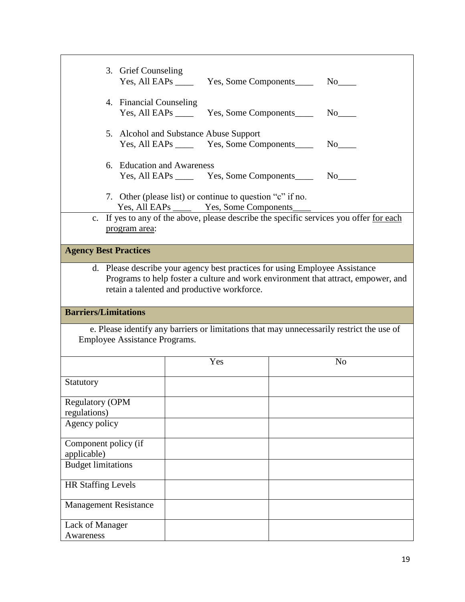| 3. Grief Counseling                    | Yes, All EAPs ________ Yes, Some Components_________ No_____                                                    |                                                                                                                                                                  |
|----------------------------------------|-----------------------------------------------------------------------------------------------------------------|------------------------------------------------------------------------------------------------------------------------------------------------------------------|
| 4. Financial Counseling                | Yes, All EAPs ________ Yes, Some Components _________ No______                                                  |                                                                                                                                                                  |
|                                        | 5. Alcohol and Substance Abuse Support<br>Yes, All EAPs ________ Yes, Some Components______                     | No no                                                                                                                                                            |
|                                        | 6. Education and Awareness<br>Yes, All EAPs _________ Yes, Some Components___________ No_______________________ |                                                                                                                                                                  |
|                                        | 7. Other (please list) or continue to question "c" if no.                                                       | Yes, All EAPs <u>Yes, Some Components</u><br>c. If yes to any of the above, please describe the specific services you offer for each                             |
| program area:                          |                                                                                                                 |                                                                                                                                                                  |
| <b>Agency Best Practices</b>           |                                                                                                                 |                                                                                                                                                                  |
|                                        | retain a talented and productive workforce.                                                                     | d. Please describe your agency best practices for using Employee Assistance<br>Programs to help foster a culture and work environment that attract, empower, and |
| <b>Barriers/Limitations</b>            |                                                                                                                 |                                                                                                                                                                  |
| Employee Assistance Programs.          |                                                                                                                 | e. Please identify any barriers or limitations that may unnecessarily restrict the use of                                                                        |
|                                        | Yes                                                                                                             | N <sub>o</sub>                                                                                                                                                   |
| Statutory                              |                                                                                                                 |                                                                                                                                                                  |
| <b>Regulatory (OPM</b><br>regulations) |                                                                                                                 |                                                                                                                                                                  |
| Agency policy                          |                                                                                                                 |                                                                                                                                                                  |
| Component policy (if<br>applicable)    |                                                                                                                 |                                                                                                                                                                  |
| <b>Budget limitations</b>              |                                                                                                                 |                                                                                                                                                                  |
| <b>HR Staffing Levels</b>              |                                                                                                                 |                                                                                                                                                                  |
| <b>Management Resistance</b>           |                                                                                                                 |                                                                                                                                                                  |
| Lack of Manager<br>Awareness           |                                                                                                                 |                                                                                                                                                                  |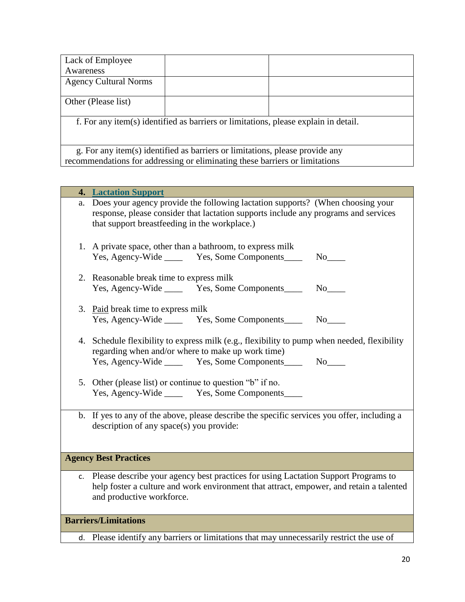| Lack of Employee             |                                                                                     |  |
|------------------------------|-------------------------------------------------------------------------------------|--|
| Awareness                    |                                                                                     |  |
| <b>Agency Cultural Norms</b> |                                                                                     |  |
|                              |                                                                                     |  |
| Other (Please list)          |                                                                                     |  |
|                              |                                                                                     |  |
|                              | f. For any item(s) identified as barriers or limitations, please explain in detail. |  |
|                              |                                                                                     |  |
|                              |                                                                                     |  |
|                              | g. For any item(s) identified as barriers or limitations, please provide any        |  |
|                              | recommendations for addressing or eliminating these barriers or limitations         |  |

| 4. | <b>Lactation Support</b>                                                                                                                                                                                               |
|----|------------------------------------------------------------------------------------------------------------------------------------------------------------------------------------------------------------------------|
| a. | Does your agency provide the following lactation supports? (When choosing your<br>response, please consider that lactation supports include any programs and services<br>that support breastfeeding in the workplace.) |
|    | 1. A private space, other than a bathroom, to express milk<br>Yes, Agency-Wide _______ Yes, Some Components_____                                                                                                       |
|    | 2. Reasonable break time to express milk<br>Yes, Agency-Wide _______ Yes, Some Components________ No_____                                                                                                              |
|    | 3. Paid break time to express milk<br>Yes, Agency-Wide ________ Yes, Some Components_________ No______                                                                                                                 |
|    | 4. Schedule flexibility to express milk (e.g., flexibility to pump when needed, flexibility<br>regarding when and/or where to make up work time)<br>Yes, Agency-Wide ________ Yes, Some Components_________ No_____    |
|    | 5. Other (please list) or continue to question "b" if no.<br>Yes, Agency-Wide _______ Yes, Some Components_____                                                                                                        |
|    | b. If yes to any of the above, please describe the specific services you offer, including a<br>description of any space(s) you provide:                                                                                |
|    | <b>Agency Best Practices</b>                                                                                                                                                                                           |
|    | c. Please describe your agency best practices for using Lactation Support Programs to<br>help foster a culture and work environment that attract, empower, and retain a talented<br>and productive workforce.          |
|    | <b>Barriers/Limitations</b>                                                                                                                                                                                            |

d. Please identify any barriers or limitations that may unnecessarily restrict the use of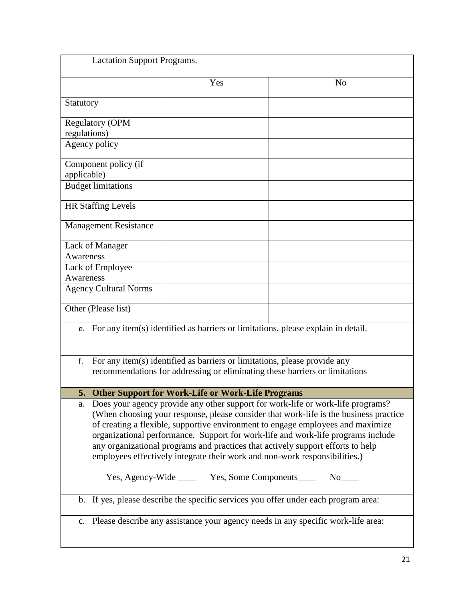| <b>Lactation Support Programs.</b>                                                                                                                                                                                                                                                                                                                                                                                                                                                                                     |     |                |  |  |
|------------------------------------------------------------------------------------------------------------------------------------------------------------------------------------------------------------------------------------------------------------------------------------------------------------------------------------------------------------------------------------------------------------------------------------------------------------------------------------------------------------------------|-----|----------------|--|--|
|                                                                                                                                                                                                                                                                                                                                                                                                                                                                                                                        | Yes | N <sub>o</sub> |  |  |
| Statutory                                                                                                                                                                                                                                                                                                                                                                                                                                                                                                              |     |                |  |  |
| <b>Regulatory (OPM</b><br>regulations)                                                                                                                                                                                                                                                                                                                                                                                                                                                                                 |     |                |  |  |
| Agency policy                                                                                                                                                                                                                                                                                                                                                                                                                                                                                                          |     |                |  |  |
| Component policy (if<br>applicable)                                                                                                                                                                                                                                                                                                                                                                                                                                                                                    |     |                |  |  |
| <b>Budget limitations</b>                                                                                                                                                                                                                                                                                                                                                                                                                                                                                              |     |                |  |  |
| <b>HR Staffing Levels</b>                                                                                                                                                                                                                                                                                                                                                                                                                                                                                              |     |                |  |  |
| <b>Management Resistance</b>                                                                                                                                                                                                                                                                                                                                                                                                                                                                                           |     |                |  |  |
| Lack of Manager<br>Awareness                                                                                                                                                                                                                                                                                                                                                                                                                                                                                           |     |                |  |  |
| Lack of Employee<br>Awareness                                                                                                                                                                                                                                                                                                                                                                                                                                                                                          |     |                |  |  |
| <b>Agency Cultural Norms</b>                                                                                                                                                                                                                                                                                                                                                                                                                                                                                           |     |                |  |  |
| Other (Please list)                                                                                                                                                                                                                                                                                                                                                                                                                                                                                                    |     |                |  |  |
| For any item(s) identified as barriers or limitations, please explain in detail.<br>e.                                                                                                                                                                                                                                                                                                                                                                                                                                 |     |                |  |  |
| For any item(s) identified as barriers or limitations, please provide any<br>f.<br>recommendations for addressing or eliminating these barriers or limitations                                                                                                                                                                                                                                                                                                                                                         |     |                |  |  |
| 5.<br>Other Support for Work-Life or Work-Life Programs                                                                                                                                                                                                                                                                                                                                                                                                                                                                |     |                |  |  |
| Does your agency provide any other support for work-life or work-life programs?<br>a.<br>(When choosing your response, please consider that work-life is the business practice<br>of creating a flexible, supportive environment to engage employees and maximize<br>organizational performance. Support for work-life and work-life programs include<br>any organizational programs and practices that actively support efforts to help<br>employees effectively integrate their work and non-work responsibilities.) |     |                |  |  |
| Yes, Agency-Wide _______ Yes, Some Components________ No_____                                                                                                                                                                                                                                                                                                                                                                                                                                                          |     |                |  |  |
| b. If yes, please describe the specific services you offer under each program area:                                                                                                                                                                                                                                                                                                                                                                                                                                    |     |                |  |  |
| c. Please describe any assistance your agency needs in any specific work-life area:                                                                                                                                                                                                                                                                                                                                                                                                                                    |     |                |  |  |